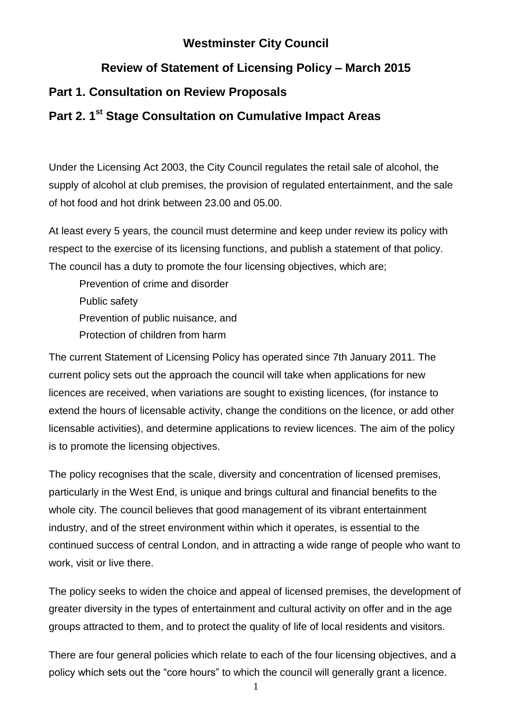# **Westminster City Council**

# **Review of Statement of Licensing Policy – March 2015**

# **Part 1. Consultation on Review Proposals**

# **Part 2. 1st Stage Consultation on Cumulative Impact Areas**

Under the Licensing Act 2003, the City Council regulates the retail sale of alcohol, the supply of alcohol at club premises, the provision of regulated entertainment, and the sale of hot food and hot drink between 23.00 and 05.00.

At least every 5 years, the council must determine and keep under review its policy with respect to the exercise of its licensing functions, and publish a statement of that policy. The council has a duty to promote the four licensing objectives, which are;

Prevention of crime and disorder Public safety Prevention of public nuisance, and Protection of children from harm

The current Statement of Licensing Policy has operated since 7th January 2011. The current policy sets out the approach the council will take when applications for new licences are received, when variations are sought to existing licences, (for instance to extend the hours of licensable activity, change the conditions on the licence, or add other licensable activities), and determine applications to review licences. The aim of the policy is to promote the licensing objectives.

The policy recognises that the scale, diversity and concentration of licensed premises, particularly in the West End, is unique and brings cultural and financial benefits to the whole city. The council believes that good management of its vibrant entertainment industry, and of the street environment within which it operates, is essential to the continued success of central London, and in attracting a wide range of people who want to work, visit or live there.

The policy seeks to widen the choice and appeal of licensed premises, the development of greater diversity in the types of entertainment and cultural activity on offer and in the age groups attracted to them, and to protect the quality of life of local residents and visitors.

There are four general policies which relate to each of the four licensing objectives, and a policy which sets out the "core hours" to which the council will generally grant a licence.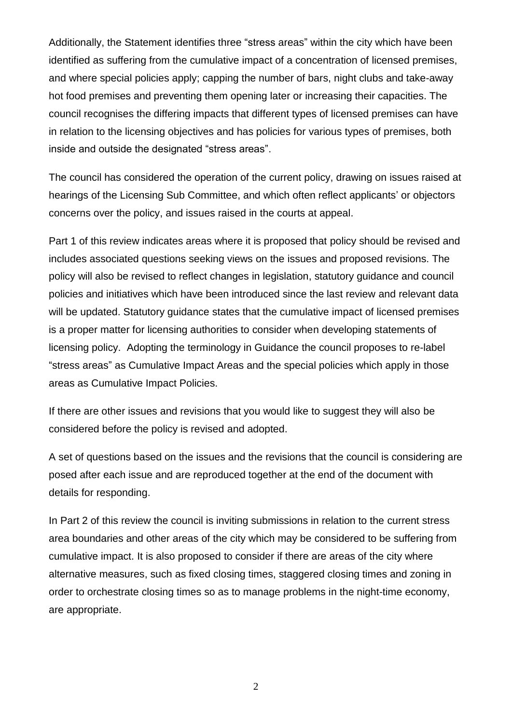Additionally, the Statement identifies three "stress areas" within the city which have been identified as suffering from the cumulative impact of a concentration of licensed premises, and where special policies apply; capping the number of bars, night clubs and take-away hot food premises and preventing them opening later or increasing their capacities. The council recognises the differing impacts that different types of licensed premises can have in relation to the licensing objectives and has policies for various types of premises, both inside and outside the designated "stress areas".

The council has considered the operation of the current policy, drawing on issues raised at hearings of the Licensing Sub Committee, and which often reflect applicants' or objectors concerns over the policy, and issues raised in the courts at appeal.

Part 1 of this review indicates areas where it is proposed that policy should be revised and includes associated questions seeking views on the issues and proposed revisions. The policy will also be revised to reflect changes in legislation, statutory guidance and council policies and initiatives which have been introduced since the last review and relevant data will be updated. Statutory guidance states that the cumulative impact of licensed premises is a proper matter for licensing authorities to consider when developing statements of licensing policy. Adopting the terminology in Guidance the council proposes to re-label "stress areas" as Cumulative Impact Areas and the special policies which apply in those areas as Cumulative Impact Policies.

If there are other issues and revisions that you would like to suggest they will also be considered before the policy is revised and adopted.

A set of questions based on the issues and the revisions that the council is considering are posed after each issue and are reproduced together at the end of the document with details for responding.

In Part 2 of this review the council is inviting submissions in relation to the current stress area boundaries and other areas of the city which may be considered to be suffering from cumulative impact. It is also proposed to consider if there are areas of the city where alternative measures, such as fixed closing times, staggered closing times and zoning in order to orchestrate closing times so as to manage problems in the night-time economy, are appropriate.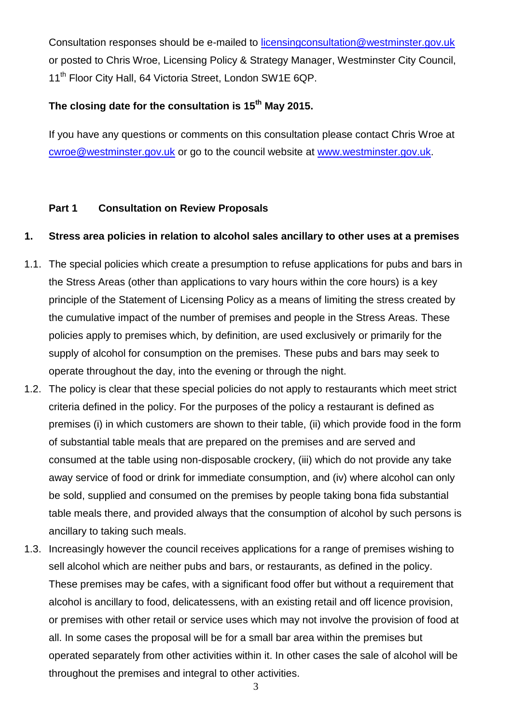Consultation responses should be e-mailed to [licensingconsultation@westminster.gov.uk](mailto:licensingconsultation@westminster.gov.uk)  or posted to Chris Wroe, Licensing Policy & Strategy Manager, Westminster City Council, 11<sup>th</sup> Floor City Hall, 64 Victoria Street, London SW1E 6QP.

### **The closing date for the consultation is 15 th May 2015.**

If you have any questions or comments on this consultation please contact Chris Wroe at [cwroe@westminster.gov.uk](mailto:cwroe@westminster.gov.uk) or go to the council website at [www.westminster.gov.uk.](http://www.westminster.gov.uk/)

## **Part 1 Consultation on Review Proposals**

## **1. Stress area policies in relation to alcohol sales ancillary to other uses at a premises**

- 1.1. The special policies which create a presumption to refuse applications for pubs and bars in the Stress Areas (other than applications to vary hours within the core hours) is a key principle of the Statement of Licensing Policy as a means of limiting the stress created by the cumulative impact of the number of premises and people in the Stress Areas. These policies apply to premises which, by definition, are used exclusively or primarily for the supply of alcohol for consumption on the premises. These pubs and bars may seek to operate throughout the day, into the evening or through the night.
- 1.2. The policy is clear that these special policies do not apply to restaurants which meet strict criteria defined in the policy. For the purposes of the policy a restaurant is defined as premises (i) in which customers are shown to their table, (ii) which provide food in the form of substantial table meals that are prepared on the premises and are served and consumed at the table using non-disposable crockery, (iii) which do not provide any take away service of food or drink for immediate consumption, and (iv) where alcohol can only be sold, supplied and consumed on the premises by people taking bona fida substantial table meals there, and provided always that the consumption of alcohol by such persons is ancillary to taking such meals.
- 1.3. Increasingly however the council receives applications for a range of premises wishing to sell alcohol which are neither pubs and bars, or restaurants, as defined in the policy. These premises may be cafes, with a significant food offer but without a requirement that alcohol is ancillary to food, delicatessens, with an existing retail and off licence provision, or premises with other retail or service uses which may not involve the provision of food at all. In some cases the proposal will be for a small bar area within the premises but operated separately from other activities within it. In other cases the sale of alcohol will be throughout the premises and integral to other activities.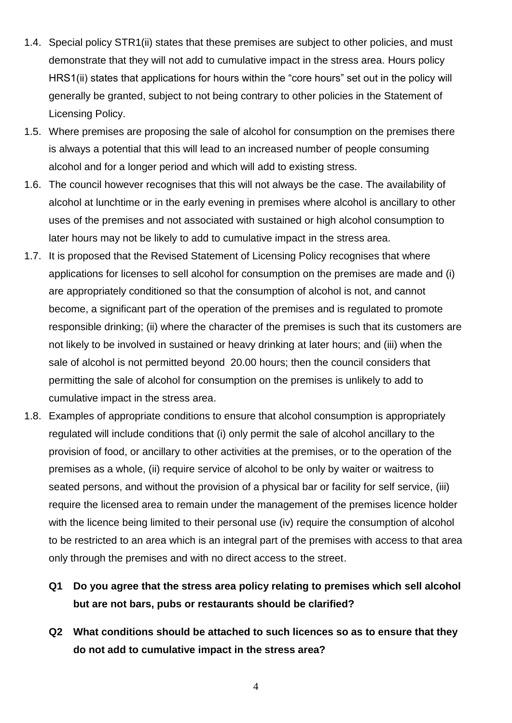- 1.4. Special policy STR1(ii) states that these premises are subject to other policies, and must demonstrate that they will not add to cumulative impact in the stress area. Hours policy HRS1(ii) states that applications for hours within the "core hours" set out in the policy will generally be granted, subject to not being contrary to other policies in the Statement of Licensing Policy.
- 1.5. Where premises are proposing the sale of alcohol for consumption on the premises there is always a potential that this will lead to an increased number of people consuming alcohol and for a longer period and which will add to existing stress.
- 1.6. The council however recognises that this will not always be the case. The availability of alcohol at lunchtime or in the early evening in premises where alcohol is ancillary to other uses of the premises and not associated with sustained or high alcohol consumption to later hours may not be likely to add to cumulative impact in the stress area.
- 1.7. It is proposed that the Revised Statement of Licensing Policy recognises that where applications for licenses to sell alcohol for consumption on the premises are made and (i) are appropriately conditioned so that the consumption of alcohol is not, and cannot become, a significant part of the operation of the premises and is regulated to promote responsible drinking; (ii) where the character of the premises is such that its customers are not likely to be involved in sustained or heavy drinking at later hours; and (iii) when the sale of alcohol is not permitted beyond 20.00 hours; then the council considers that permitting the sale of alcohol for consumption on the premises is unlikely to add to cumulative impact in the stress area.
- 1.8. Examples of appropriate conditions to ensure that alcohol consumption is appropriately regulated will include conditions that (i) only permit the sale of alcohol ancillary to the provision of food, or ancillary to other activities at the premises, or to the operation of the premises as a whole, (ii) require service of alcohol to be only by waiter or waitress to seated persons, and without the provision of a physical bar or facility for self service, (iii) require the licensed area to remain under the management of the premises licence holder with the licence being limited to their personal use (iv) require the consumption of alcohol to be restricted to an area which is an integral part of the premises with access to that area only through the premises and with no direct access to the street.
	- **Q1 Do you agree that the stress area policy relating to premises which sell alcohol but are not bars, pubs or restaurants should be clarified?**
	- **Q2 What conditions should be attached to such licences so as to ensure that they do not add to cumulative impact in the stress area?**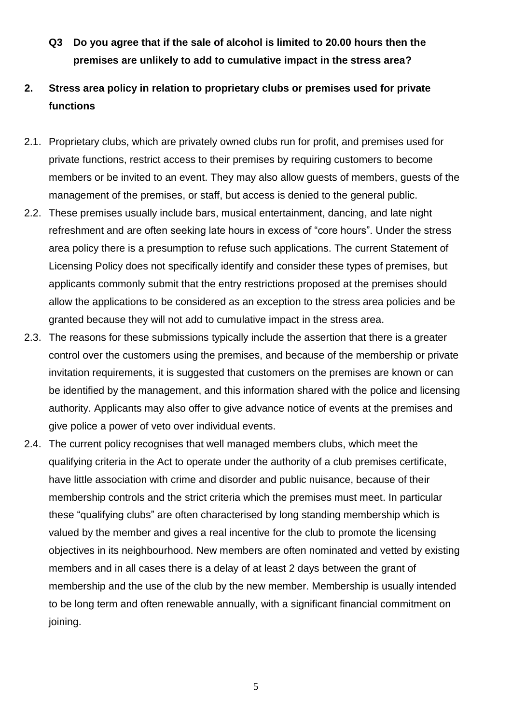- **Q3 Do you agree that if the sale of alcohol is limited to 20.00 hours then the premises are unlikely to add to cumulative impact in the stress area?**
- **2. Stress area policy in relation to proprietary clubs or premises used for private functions**
- 2.1. Proprietary clubs, which are privately owned clubs run for profit, and premises used for private functions, restrict access to their premises by requiring customers to become members or be invited to an event. They may also allow guests of members, guests of the management of the premises, or staff, but access is denied to the general public.
- 2.2. These premises usually include bars, musical entertainment, dancing, and late night refreshment and are often seeking late hours in excess of "core hours". Under the stress area policy there is a presumption to refuse such applications. The current Statement of Licensing Policy does not specifically identify and consider these types of premises, but applicants commonly submit that the entry restrictions proposed at the premises should allow the applications to be considered as an exception to the stress area policies and be granted because they will not add to cumulative impact in the stress area.
- 2.3. The reasons for these submissions typically include the assertion that there is a greater control over the customers using the premises, and because of the membership or private invitation requirements, it is suggested that customers on the premises are known or can be identified by the management, and this information shared with the police and licensing authority. Applicants may also offer to give advance notice of events at the premises and give police a power of veto over individual events.
- 2.4. The current policy recognises that well managed members clubs, which meet the qualifying criteria in the Act to operate under the authority of a club premises certificate, have little association with crime and disorder and public nuisance, because of their membership controls and the strict criteria which the premises must meet. In particular these "qualifying clubs" are often characterised by long standing membership which is valued by the member and gives a real incentive for the club to promote the licensing objectives in its neighbourhood. New members are often nominated and vetted by existing members and in all cases there is a delay of at least 2 days between the grant of membership and the use of the club by the new member. Membership is usually intended to be long term and often renewable annually, with a significant financial commitment on joining.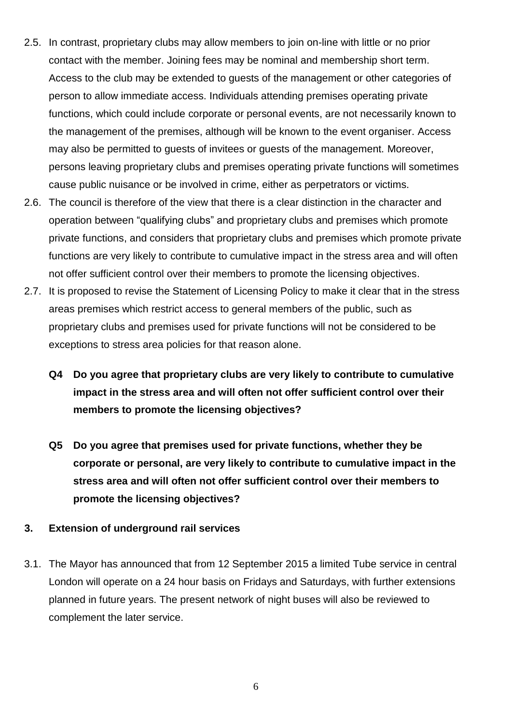- 2.5. In contrast, proprietary clubs may allow members to join on-line with little or no prior contact with the member. Joining fees may be nominal and membership short term. Access to the club may be extended to guests of the management or other categories of person to allow immediate access. Individuals attending premises operating private functions, which could include corporate or personal events, are not necessarily known to the management of the premises, although will be known to the event organiser. Access may also be permitted to guests of invitees or guests of the management. Moreover, persons leaving proprietary clubs and premises operating private functions will sometimes cause public nuisance or be involved in crime, either as perpetrators or victims.
- 2.6. The council is therefore of the view that there is a clear distinction in the character and operation between "qualifying clubs" and proprietary clubs and premises which promote private functions, and considers that proprietary clubs and premises which promote private functions are very likely to contribute to cumulative impact in the stress area and will often not offer sufficient control over their members to promote the licensing objectives.
- 2.7. It is proposed to revise the Statement of Licensing Policy to make it clear that in the stress areas premises which restrict access to general members of the public, such as proprietary clubs and premises used for private functions will not be considered to be exceptions to stress area policies for that reason alone.
	- **Q4 Do you agree that proprietary clubs are very likely to contribute to cumulative impact in the stress area and will often not offer sufficient control over their members to promote the licensing objectives?**
	- **Q5 Do you agree that premises used for private functions, whether they be corporate or personal, are very likely to contribute to cumulative impact in the stress area and will often not offer sufficient control over their members to promote the licensing objectives?**
- **3. Extension of underground rail services**
- 3.1. The Mayor has announced that from 12 September 2015 a limited Tube service in central London will operate on a 24 hour basis on Fridays and Saturdays, with further extensions planned in future years. The present network of night buses will also be reviewed to complement the later service.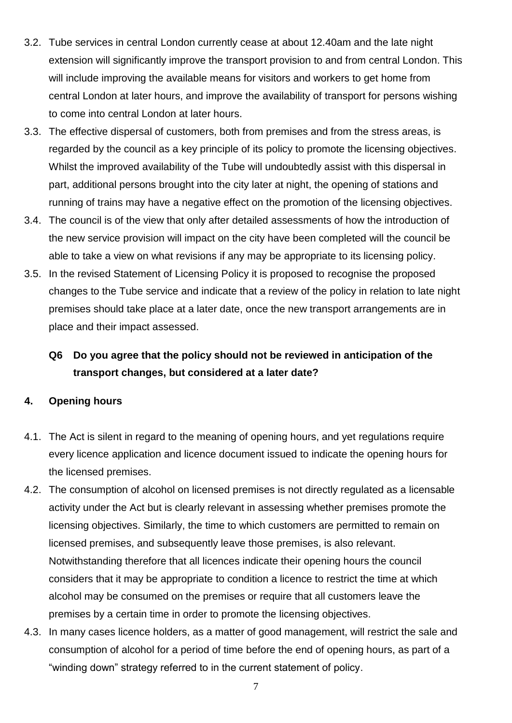- 3.2. Tube services in central London currently cease at about 12.40am and the late night extension will significantly improve the transport provision to and from central London. This will include improving the available means for visitors and workers to get home from central London at later hours, and improve the availability of transport for persons wishing to come into central London at later hours.
- 3.3. The effective dispersal of customers, both from premises and from the stress areas, is regarded by the council as a key principle of its policy to promote the licensing objectives. Whilst the improved availability of the Tube will undoubtedly assist with this dispersal in part, additional persons brought into the city later at night, the opening of stations and running of trains may have a negative effect on the promotion of the licensing objectives.
- 3.4. The council is of the view that only after detailed assessments of how the introduction of the new service provision will impact on the city have been completed will the council be able to take a view on what revisions if any may be appropriate to its licensing policy.
- 3.5. In the revised Statement of Licensing Policy it is proposed to recognise the proposed changes to the Tube service and indicate that a review of the policy in relation to late night premises should take place at a later date, once the new transport arrangements are in place and their impact assessed.

# **Q6 Do you agree that the policy should not be reviewed in anticipation of the transport changes, but considered at a later date?**

### **4. Opening hours**

- 4.1. The Act is silent in regard to the meaning of opening hours, and yet regulations require every licence application and licence document issued to indicate the opening hours for the licensed premises.
- 4.2. The consumption of alcohol on licensed premises is not directly regulated as a licensable activity under the Act but is clearly relevant in assessing whether premises promote the licensing objectives. Similarly, the time to which customers are permitted to remain on licensed premises, and subsequently leave those premises, is also relevant. Notwithstanding therefore that all licences indicate their opening hours the council considers that it may be appropriate to condition a licence to restrict the time at which alcohol may be consumed on the premises or require that all customers leave the premises by a certain time in order to promote the licensing objectives.
- 4.3. In many cases licence holders, as a matter of good management, will restrict the sale and consumption of alcohol for a period of time before the end of opening hours, as part of a "winding down" strategy referred to in the current statement of policy.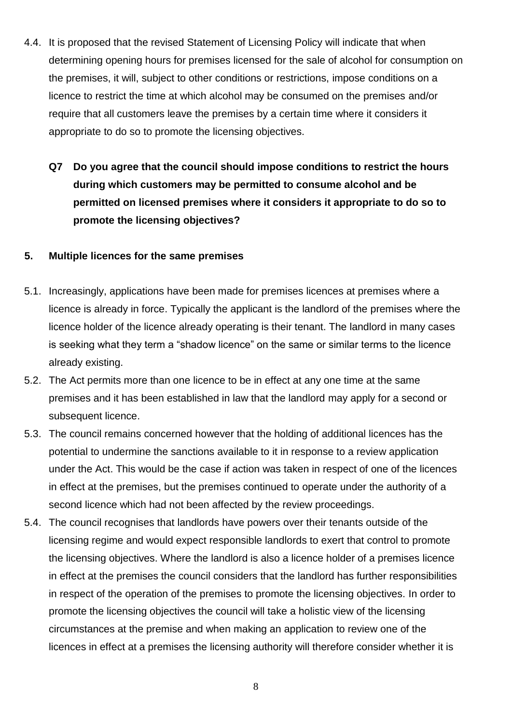- 4.4. It is proposed that the revised Statement of Licensing Policy will indicate that when determining opening hours for premises licensed for the sale of alcohol for consumption on the premises, it will, subject to other conditions or restrictions, impose conditions on a licence to restrict the time at which alcohol may be consumed on the premises and/or require that all customers leave the premises by a certain time where it considers it appropriate to do so to promote the licensing objectives.
	- **Q7 Do you agree that the council should impose conditions to restrict the hours during which customers may be permitted to consume alcohol and be permitted on licensed premises where it considers it appropriate to do so to promote the licensing objectives?**

### **5. Multiple licences for the same premises**

- 5.1. Increasingly, applications have been made for premises licences at premises where a licence is already in force. Typically the applicant is the landlord of the premises where the licence holder of the licence already operating is their tenant. The landlord in many cases is seeking what they term a "shadow licence" on the same or similar terms to the licence already existing.
- 5.2. The Act permits more than one licence to be in effect at any one time at the same premises and it has been established in law that the landlord may apply for a second or subsequent licence.
- 5.3. The council remains concerned however that the holding of additional licences has the potential to undermine the sanctions available to it in response to a review application under the Act. This would be the case if action was taken in respect of one of the licences in effect at the premises, but the premises continued to operate under the authority of a second licence which had not been affected by the review proceedings.
- 5.4. The council recognises that landlords have powers over their tenants outside of the licensing regime and would expect responsible landlords to exert that control to promote the licensing objectives. Where the landlord is also a licence holder of a premises licence in effect at the premises the council considers that the landlord has further responsibilities in respect of the operation of the premises to promote the licensing objectives. In order to promote the licensing objectives the council will take a holistic view of the licensing circumstances at the premise and when making an application to review one of the licences in effect at a premises the licensing authority will therefore consider whether it is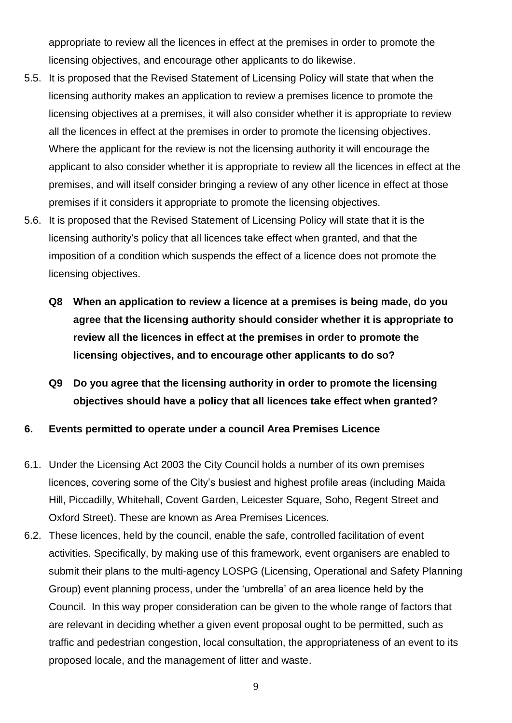appropriate to review all the licences in effect at the premises in order to promote the licensing objectives, and encourage other applicants to do likewise.

- 5.5. It is proposed that the Revised Statement of Licensing Policy will state that when the licensing authority makes an application to review a premises licence to promote the licensing objectives at a premises, it will also consider whether it is appropriate to review all the licences in effect at the premises in order to promote the licensing objectives. Where the applicant for the review is not the licensing authority it will encourage the applicant to also consider whether it is appropriate to review all the licences in effect at the premises, and will itself consider bringing a review of any other licence in effect at those premises if it considers it appropriate to promote the licensing objectives.
- 5.6. It is proposed that the Revised Statement of Licensing Policy will state that it is the licensing authority's policy that all licences take effect when granted, and that the imposition of a condition which suspends the effect of a licence does not promote the licensing objectives.
	- **Q8 When an application to review a licence at a premises is being made, do you agree that the licensing authority should consider whether it is appropriate to review all the licences in effect at the premises in order to promote the licensing objectives, and to encourage other applicants to do so?**
	- **Q9 Do you agree that the licensing authority in order to promote the licensing objectives should have a policy that all licences take effect when granted?**
- **6. Events permitted to operate under a council Area Premises Licence**
- 6.1. Under the Licensing Act 2003 the City Council holds a number of its own premises licences, covering some of the City's busiest and highest profile areas (including Maida Hill, Piccadilly, Whitehall, Covent Garden, Leicester Square, Soho, Regent Street and Oxford Street). These are known as Area Premises Licences.
- 6.2. These licences, held by the council, enable the safe, controlled facilitation of event activities. Specifically, by making use of this framework, event organisers are enabled to submit their plans to the multi-agency LOSPG (Licensing, Operational and Safety Planning Group) event planning process, under the 'umbrella' of an area licence held by the Council. In this way proper consideration can be given to the whole range of factors that are relevant in deciding whether a given event proposal ought to be permitted, such as traffic and pedestrian congestion, local consultation, the appropriateness of an event to its proposed locale, and the management of litter and waste.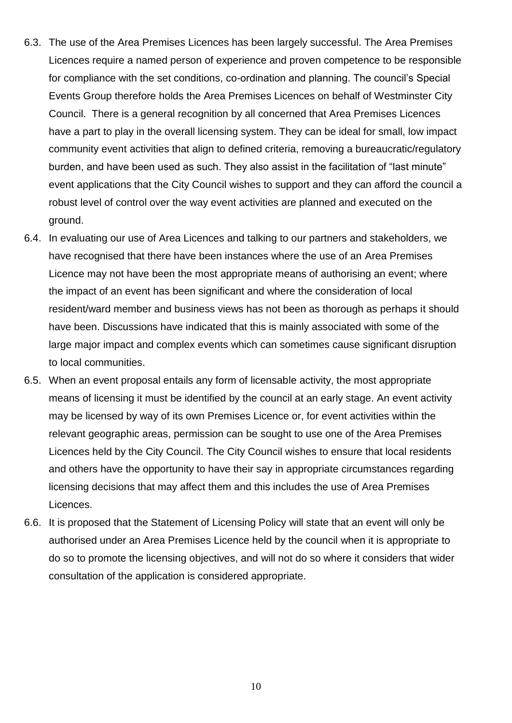- 6.3. The use of the Area Premises Licences has been largely successful. The Area Premises Licences require a named person of experience and proven competence to be responsible for compliance with the set conditions, co-ordination and planning. The council's Special Events Group therefore holds the Area Premises Licences on behalf of Westminster City Council. There is a general recognition by all concerned that Area Premises Licences have a part to play in the overall licensing system. They can be ideal for small, low impact community event activities that align to defined criteria, removing a bureaucratic/regulatory burden, and have been used as such. They also assist in the facilitation of "last minute" event applications that the City Council wishes to support and they can afford the council a robust level of control over the way event activities are planned and executed on the ground.
- 6.4. In evaluating our use of Area Licences and talking to our partners and stakeholders, we have recognised that there have been instances where the use of an Area Premises Licence may not have been the most appropriate means of authorising an event; where the impact of an event has been significant and where the consideration of local resident/ward member and business views has not been as thorough as perhaps it should have been. Discussions have indicated that this is mainly associated with some of the large major impact and complex events which can sometimes cause significant disruption to local communities.
- 6.5. When an event proposal entails any form of licensable activity, the most appropriate means of licensing it must be identified by the council at an early stage. An event activity may be licensed by way of its own Premises Licence or, for event activities within the relevant geographic areas, permission can be sought to use one of the Area Premises Licences held by the City Council. The City Council wishes to ensure that local residents and others have the opportunity to have their say in appropriate circumstances regarding licensing decisions that may affect them and this includes the use of Area Premises Licences.
- 6.6. It is proposed that the Statement of Licensing Policy will state that an event will only be authorised under an Area Premises Licence held by the council when it is appropriate to do so to promote the licensing objectives, and will not do so where it considers that wider consultation of the application is considered appropriate.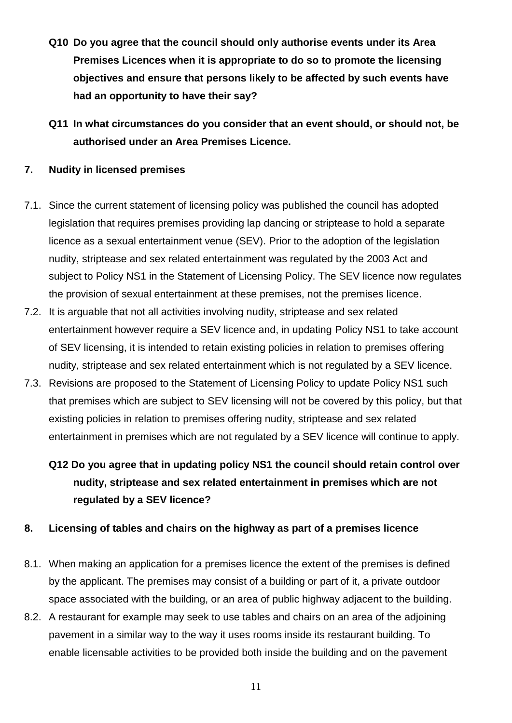- **Q10 Do you agree that the council should only authorise events under its Area Premises Licences when it is appropriate to do so to promote the licensing objectives and ensure that persons likely to be affected by such events have had an opportunity to have their say?**
- **Q11 In what circumstances do you consider that an event should, or should not, be authorised under an Area Premises Licence.**

### **7. Nudity in licensed premises**

- 7.1. Since the current statement of licensing policy was published the council has adopted legislation that requires premises providing lap dancing or striptease to hold a separate licence as a sexual entertainment venue (SEV). Prior to the adoption of the legislation nudity, striptease and sex related entertainment was regulated by the 2003 Act and subject to Policy NS1 in the Statement of Licensing Policy. The SEV licence now regulates the provision of sexual entertainment at these premises, not the premises licence.
- 7.2. It is arguable that not all activities involving nudity, striptease and sex related entertainment however require a SEV licence and, in updating Policy NS1 to take account of SEV licensing, it is intended to retain existing policies in relation to premises offering nudity, striptease and sex related entertainment which is not regulated by a SEV licence.
- 7.3. Revisions are proposed to the Statement of Licensing Policy to update Policy NS1 such that premises which are subject to SEV licensing will not be covered by this policy, but that existing policies in relation to premises offering nudity, striptease and sex related entertainment in premises which are not regulated by a SEV licence will continue to apply.
	- **Q12 Do you agree that in updating policy NS1 the council should retain control over nudity, striptease and sex related entertainment in premises which are not regulated by a SEV licence?**

### **8. Licensing of tables and chairs on the highway as part of a premises licence**

- 8.1. When making an application for a premises licence the extent of the premises is defined by the applicant. The premises may consist of a building or part of it, a private outdoor space associated with the building, or an area of public highway adjacent to the building.
- 8.2. A restaurant for example may seek to use tables and chairs on an area of the adjoining pavement in a similar way to the way it uses rooms inside its restaurant building. To enable licensable activities to be provided both inside the building and on the pavement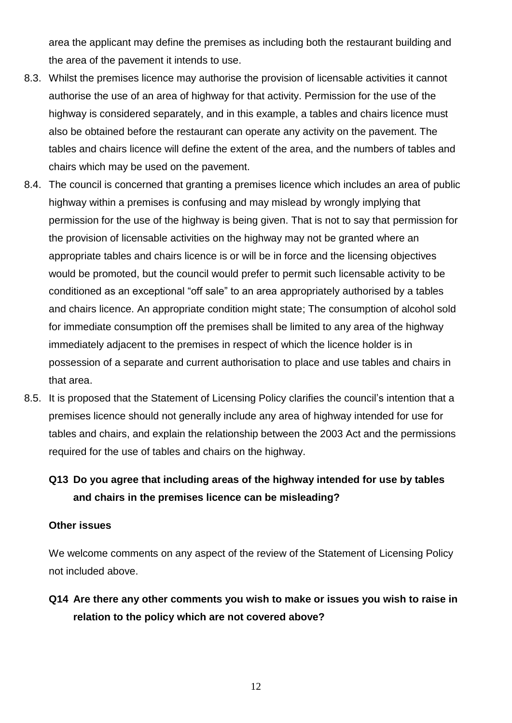area the applicant may define the premises as including both the restaurant building and the area of the pavement it intends to use.

- 8.3. Whilst the premises licence may authorise the provision of licensable activities it cannot authorise the use of an area of highway for that activity. Permission for the use of the highway is considered separately, and in this example, a tables and chairs licence must also be obtained before the restaurant can operate any activity on the pavement. The tables and chairs licence will define the extent of the area, and the numbers of tables and chairs which may be used on the pavement.
- 8.4. The council is concerned that granting a premises licence which includes an area of public highway within a premises is confusing and may mislead by wrongly implying that permission for the use of the highway is being given. That is not to say that permission for the provision of licensable activities on the highway may not be granted where an appropriate tables and chairs licence is or will be in force and the licensing objectives would be promoted, but the council would prefer to permit such licensable activity to be conditioned as an exceptional "off sale" to an area appropriately authorised by a tables and chairs licence. An appropriate condition might state; The consumption of alcohol sold for immediate consumption off the premises shall be limited to any area of the highway immediately adjacent to the premises in respect of which the licence holder is in possession of a separate and current authorisation to place and use tables and chairs in that area.
- 8.5. It is proposed that the Statement of Licensing Policy clarifies the council's intention that a premises licence should not generally include any area of highway intended for use for tables and chairs, and explain the relationship between the 2003 Act and the permissions required for the use of tables and chairs on the highway.

# **Q13 Do you agree that including areas of the highway intended for use by tables and chairs in the premises licence can be misleading?**

### **Other issues**

We welcome comments on any aspect of the review of the Statement of Licensing Policy not included above.

**Q14 Are there any other comments you wish to make or issues you wish to raise in relation to the policy which are not covered above?**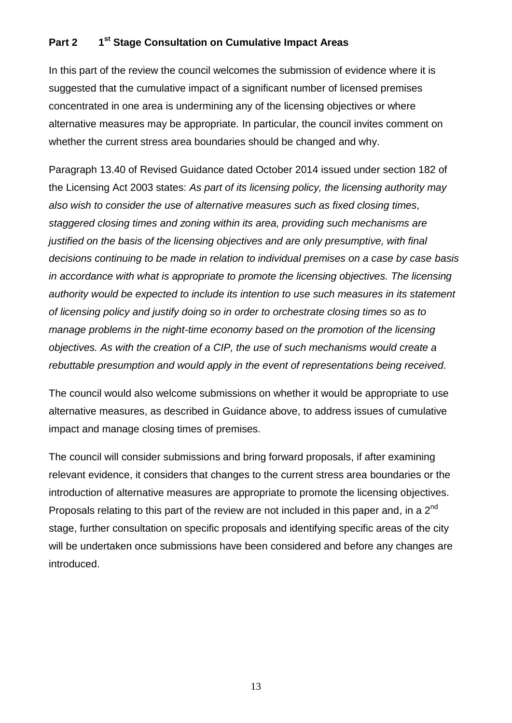#### **Part 2 st Stage Consultation on Cumulative Impact Areas**

In this part of the review the council welcomes the submission of evidence where it is suggested that the cumulative impact of a significant number of licensed premises concentrated in one area is undermining any of the licensing objectives or where alternative measures may be appropriate. In particular, the council invites comment on whether the current stress area boundaries should be changed and why.

Paragraph 13.40 of Revised Guidance dated October 2014 issued under section 182 of the Licensing Act 2003 states: *As part of its licensing policy, the licensing authority may also wish to consider the use of alternative measures such as fixed closing times, staggered closing times and zoning within its area, providing such mechanisms are justified on the basis of the licensing objectives and are only presumptive, with final decisions continuing to be made in relation to individual premises on a case by case basis in accordance with what is appropriate to promote the licensing objectives. The licensing authority would be expected to include its intention to use such measures in its statement of licensing policy and justify doing so in order to orchestrate closing times so as to manage problems in the night-time economy based on the promotion of the licensing objectives. As with the creation of a CIP, the use of such mechanisms would create a rebuttable presumption and would apply in the event of representations being received.*

The council would also welcome submissions on whether it would be appropriate to use alternative measures, as described in Guidance above, to address issues of cumulative impact and manage closing times of premises.

The council will consider submissions and bring forward proposals, if after examining relevant evidence, it considers that changes to the current stress area boundaries or the introduction of alternative measures are appropriate to promote the licensing objectives. Proposals relating to this part of the review are not included in this paper and, in a 2<sup>nd</sup> stage, further consultation on specific proposals and identifying specific areas of the city will be undertaken once submissions have been considered and before any changes are introduced.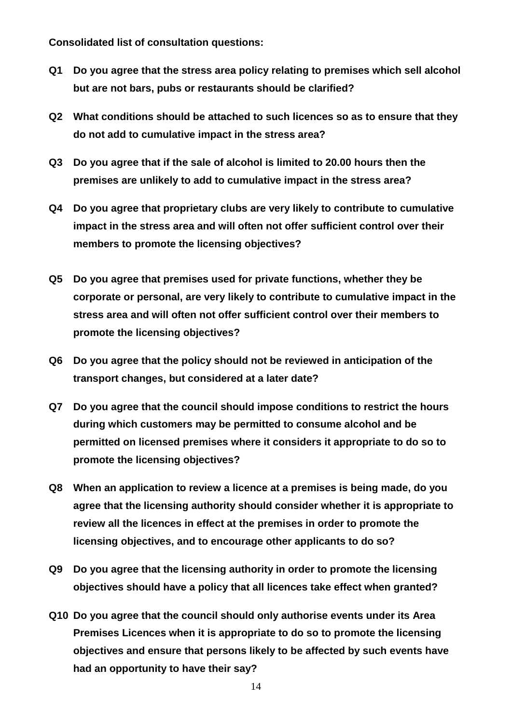**Consolidated list of consultation questions:**

- **Q1 Do you agree that the stress area policy relating to premises which sell alcohol but are not bars, pubs or restaurants should be clarified?**
- **Q2 What conditions should be attached to such licences so as to ensure that they do not add to cumulative impact in the stress area?**
- **Q3 Do you agree that if the sale of alcohol is limited to 20.00 hours then the premises are unlikely to add to cumulative impact in the stress area?**
- **Q4 Do you agree that proprietary clubs are very likely to contribute to cumulative impact in the stress area and will often not offer sufficient control over their members to promote the licensing objectives?**
- **Q5 Do you agree that premises used for private functions, whether they be corporate or personal, are very likely to contribute to cumulative impact in the stress area and will often not offer sufficient control over their members to promote the licensing objectives?**
- **Q6 Do you agree that the policy should not be reviewed in anticipation of the transport changes, but considered at a later date?**
- **Q7 Do you agree that the council should impose conditions to restrict the hours during which customers may be permitted to consume alcohol and be permitted on licensed premises where it considers it appropriate to do so to promote the licensing objectives?**
- **Q8 When an application to review a licence at a premises is being made, do you agree that the licensing authority should consider whether it is appropriate to review all the licences in effect at the premises in order to promote the licensing objectives, and to encourage other applicants to do so?**
- **Q9 Do you agree that the licensing authority in order to promote the licensing objectives should have a policy that all licences take effect when granted?**
- **Q10 Do you agree that the council should only authorise events under its Area Premises Licences when it is appropriate to do so to promote the licensing objectives and ensure that persons likely to be affected by such events have had an opportunity to have their say?**